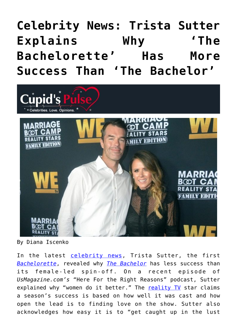# **[Celebrity News: Trista Sutter](https://cupidspulse.com/135324/celebrity-news-trista-sutter-bachelorette-more-successful-bachelor/) [Explains Why 'The](https://cupidspulse.com/135324/celebrity-news-trista-sutter-bachelorette-more-successful-bachelor/) [Bachelorette' Has More](https://cupidspulse.com/135324/celebrity-news-trista-sutter-bachelorette-more-successful-bachelor/) [Success Than 'The Bachelor'](https://cupidspulse.com/135324/celebrity-news-trista-sutter-bachelorette-more-successful-bachelor/)**



By Diana Iscenko

In the latest [celebrity news](http://cupidspulse.com/celebrity-news/), Trista Sutter, the first *[Bachelorette](http://cupidspulse.com/celebrity-news/reality-tv/the-bachelorette/)*, revealed why *[The Bachelor](http://cupidspulse.com/celebrity-news/reality-tv/the-bachelor/)* has less success than its female-led spin-off. On a recent episode of *UsMagazine.com's* "Here For the Right Reasons" podcast, Sutter explained why "women do it better." The [reality TV](http://cupidspulse.com/celebrity-news/reality-tv/) star claims a season's success is based on how well it was cast and how open the lead is to finding love on the show. Sutter also acknowledges how easy it is to "get caught up in the lust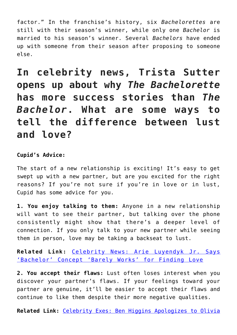factor." In the franchise's history, six *Bachelorettes* are still with their season's winner, while only one *Bachelor* is married to his season's winner. Several *Bachelors* have ended up with someone from their season after proposing to someone else.

**In celebrity news, Trista Sutter opens up about why** *The Bachelorette* **has more success stories than** *The Bachelor***. What are some ways to tell the difference between lust and love?**

### **Cupid's Advice:**

The start of a new relationship is exciting! It's easy to get swept up with a new partner, but are you excited for the right reasons? If you're not sure if you're in love or in lust, Cupid has some advice for you.

**1. You enjoy talking to them:** Anyone in a new relationship will want to see their partner, but talking over the phone consistently might show that there's a deeper level of connection. If you only talk to your new partner while seeing them in person, love may be taking a backseat to lust.

**Related Link:** [Celebrity News: Arie Luyendyk Jr. Says](http://cupidspulse.com/134917/celebrity-news-arie-luyendyk-jr-says-bachelor-barely-works/) ['Bachelor' Concept 'Barely Works' for Finding Love](http://cupidspulse.com/134917/celebrity-news-arie-luyendyk-jr-says-bachelor-barely-works/)

**2. You accept their flaws:** Lust often loses interest when you discover your partner's flaws. If your feelings toward your partner are genuine, it'll be easier to accept their flaws and continue to like them despite their more negative qualities.

**Related Link:** [Celebrity Exes: Ben Higgins Apologizes to Olivia](http://cupidspulse.com/135049/celebrity-exes-ben-higgins-apologizes-olivia-caridi-the-bachelor/)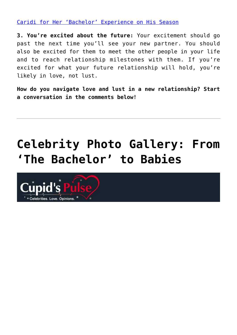[Caridi for Her 'Bachelor' Experience on His Season](http://cupidspulse.com/135049/celebrity-exes-ben-higgins-apologizes-olivia-caridi-the-bachelor/)

**3. You're excited about the future:** Your excitement should go past the next time you'll see your new partner. You should also be excited for them to meet the other people in your life and to reach relationship milestones with them. If you're excited for what your future relationship will hold, you're likely in love, not lust.

**How do you navigate love and lust in a new relationship? Start a conversation in the comments below!**

# **[Celebrity Photo Gallery: From](https://cupidspulse.com/107173/celebrity-photo-gallery-from-the-bachelor-to-babies/) ['The Bachelor' to Babies](https://cupidspulse.com/107173/celebrity-photo-gallery-from-the-bachelor-to-babies/)**

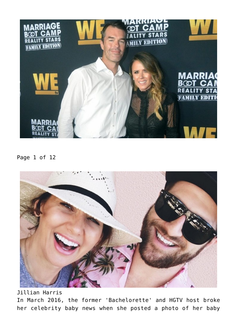

Page 1 of 12



Jillian Harris

In March 2016, the former 'Bachelorette' and HGTV host broke her celebrity baby news when she posted a photo of her baby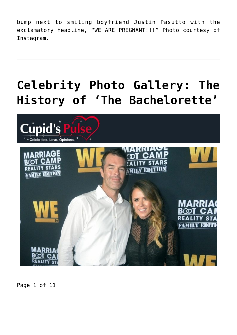bump next to smiling boyfriend Justin Pasutto with the exclamatory headline, "WE ARE PREGNANT!!!" Photo courtesy of Instagram.

# **[Celebrity Photo Gallery: The](https://cupidspulse.com/95007/celebrity-photo-gallery-the-history-of-the-bachelorette/) [History of 'The Bachelorette'](https://cupidspulse.com/95007/celebrity-photo-gallery-the-history-of-the-bachelorette/)**



Page 1 of 11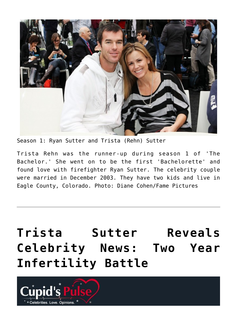

Season 1: Ryan Sutter and Trista (Rehn) Sutter

Trista Rehn was the runner-up during season 1 of 'The Bachelor.' She went on to be the first 'Bachelorette' and found love with firefighter Ryan Sutter. The celebrity couple were married in December 2003. They have two kids and live in Eagle County, Colorado. Photo: Diane Cohen/Fame Pictures

**[Trista Sutter Reveals](https://cupidspulse.com/87881/trista-sutter-reveals-celebrity-news-two-year-infertility-battle/) [Celebrity News: Two Year](https://cupidspulse.com/87881/trista-sutter-reveals-celebrity-news-two-year-infertility-battle/) [Infertility Battle](https://cupidspulse.com/87881/trista-sutter-reveals-celebrity-news-two-year-infertility-battle/)**

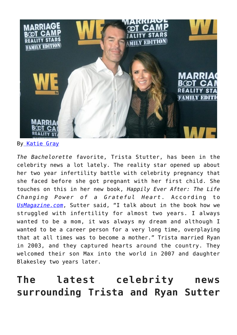

By [Katie Gray](http://cupidspulse.com/105088/katie-gray/)

*The Bachelorette* favorite, Trista Stutter, has been in the celebrity news a lot lately. The reality star opened up about her two year infertility battle with celebrity pregnancy that she faced before she got pregnant with her first child. She touches on this in her new book, *Happily Ever After: The Life Changing Power of a Grateful Heart*. According to *[UsMagazine.com](http://www.usmagazine.com/celebrity-moms/news/trista-sutter-reveals-two-year-infertility-struggle-dark-time-2015272)*, Sutter said, "I talk about in the book how we struggled with infertility for almost two years. I always wanted to be a mom, it was always my dream and although I wanted to be a career person for a very long time, overplaying that at all times was to become a mother." Trista married Ryan in 2003, and they captured hearts around the country. They welcomed their son Max into the world in 2007 and daughter Blakesley two years later.

## **The latest celebrity news surrounding Trista and Ryan Sutter**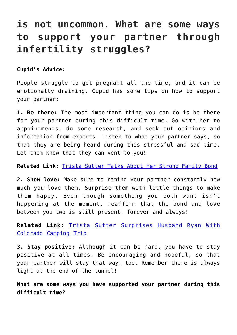### **is not uncommon. What are some ways to support your partner through infertility struggles?**

**Cupid's Advice:**

People struggle to get pregnant all the time, and it can be emotionally draining. Cupid has some tips on how to support your partner:

**1. Be there:** The most important thing you can do is be there for your partner during this difficult time. Go with her to appointments, do some research, and seek out opinions and information from experts. Listen to what your partner says, so that they are being heard during this stressful and sad time. Let them know that they can vent to you!

**Related Link:** [Trista Sutter Talks About Her Strong Family Bond](http://cupidspulse.com/72818/trista-sutter-strong-family-bond/)

**2. Show love:** Make sure to remind your partner constantly how much you love them. Surprise them with little things to make them happy. Even though something you both want isn't happening at the moment, reaffirm that the bond and love between you two is still present, forever and always!

**Related Link:** [Trista Sutter Surprises Husband Ryan With](http://cupidspulse.com/81014/trista-sutter-surprises-husband-ryan-sutter-colorado-camping/) [Colorado Camping Trip](http://cupidspulse.com/81014/trista-sutter-surprises-husband-ryan-sutter-colorado-camping/)

**3. Stay positive:** Although it can be hard, you have to stay positive at all times. Be encouraging and hopeful, so that your partner will stay that way, too. Remember there is always light at the end of the tunnel!

**What are some ways you have supported your partner during this difficult time?**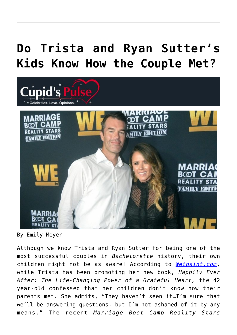# **[Do Trista and Ryan Sutter's](https://cupidspulse.com/82932/trista-ryan-sutters-kids-know-how-couple-met/) [Kids Know How the Couple Met?](https://cupidspulse.com/82932/trista-ryan-sutters-kids-know-how-couple-met/)**



By Emily Meyer

Although we know Trista and Ryan Sutter for being one of the most successful couples in *Bachelorette* history, their own children might not be as aware! According to *[Wetpaint.com](http://www.wetpaint.com/the-bachelorette/articles/2014-11-11-trista-ryan-sutter-kids-relationship)*, while Trista has been promoting her new book, *Happily Ever After: The Life-Changing Power of a Grateful Heart,* the 42 year-old confessed that her children don't know how their parents met. She admits, "They haven't seen it…I'm sure that we'll be answering questions, but I'm not ashamed of it by any means." The recent *Marriage Boot Camp Reality Stars*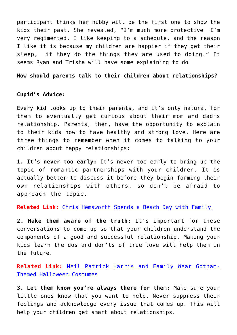participant thinks her hubby will be the first one to show the kids their past. She revealed, "I'm much more protective. I'm very regimented. I like keeping to a schedule, and the reason I like it is because my children are happier if they get their sleep, if they do the things they are used to doing." It seems Ryan and Trista will have some explaining to do!

#### **How should parents talk to their children about relationships?**

### **Cupid's Advice:**

Every kid looks up to their parents, and it's only natural for them to eventually get curious about their mom and dad's relationship. Parents, then, have the opportunity to explain to their kids how to have healthy and strong love. Here are three things to remember when it comes to talking to your children about happy relationships:

**1. It's never too early:** It's never too early to bring up the topic of romantic partnerships with your children. It is actually better to discuss it before they begin forming their own relationships with others, so don't be afraid to approach the topic.

**Related Link:** [Chris Hemsworth Spends a Beach Day with Family](http://cupidspulse.com/82187/chris-hemsworth-beach-with-family/)

**2. Make them aware of the truth:** It's important for these conversations to come up so that your children understand the components of a good and successful relationship. Making your kids learn the dos and don'ts of true love will help them in the future.

**Related Link:** [Neil Patrick Harris and Family Wear Gotham-](http://cupidspulse.com/82506/neil-patrick-harris-and-family-wear-gotham-themed-halloween-costumes/)[Themed Halloween Costumes](http://cupidspulse.com/82506/neil-patrick-harris-and-family-wear-gotham-themed-halloween-costumes/)

**3. Let them know you're always there for them:** Make sure your little ones know that you want to help. Never suppress their feelings and acknowledge every issue that comes up. This will help your children get smart about relationships.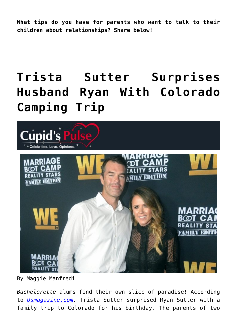**What tips do you have for parents who want to talk to their children about relationships? Share below!**

# **[Trista Sutter Surprises](https://cupidspulse.com/81014/trista-sutter-surprises-husband-ryan-sutter-colorado-camping/) [Husband Ryan With Colorado](https://cupidspulse.com/81014/trista-sutter-surprises-husband-ryan-sutter-colorado-camping/) [Camping Trip](https://cupidspulse.com/81014/trista-sutter-surprises-husband-ryan-sutter-colorado-camping/)**



By Maggie Manfredi

*Bachelorette* alums find their own slice of paradise! According to *[Usmagazine.com](http://www.usmagazine.com/celebrity-news/news/trista-sutter-surprised-ryan-sutter-with-camping-trip-for-birthday-2014219),* Trista Sutter surprised Ryan Sutter with a family trip to Colorado for his birthday. The parents of two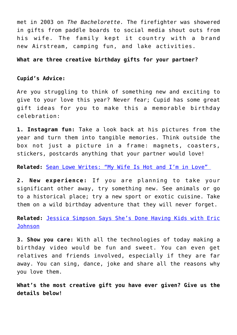met in 2003 on *The Bachelorette.* The firefighter was showered in gifts from paddle boards to social media shout outs from his wife. The family kept it country with a brand new Airstream, camping fun, and lake activities.

### **What are three creative birthday gifts for your partner?**

#### **Cupid's Advice:**

Are you struggling to think of something new and exciting to give to your love this year? Never fear; Cupid has some great gift ideas for you to make this a memorable birthday celebration:

**1. Instagram fun:** Take a look back at his pictures from the year and turn them into tangible memories. Think outside the box not just a picture in a frame: magnets, coasters, stickers, postcards anything that your partner would love!

**Related:** [Sean Lowe Writes: "My Wife Is Hot and I'm in Love"](http://cupidspulse.com/79838/sean-lowe-catherine-is-hot-the-bachelor/)

**2. New experience:** If you are planning to take your significant other away, try something new. See animals or go to a historical place; try a new sport or exotic cuisine. Take them on a wild birthday adventure that they will never forget.

**Related:** [Jessica Simpson Says She's Done Having Kids with Eric](http://cupidspulse.com/80928/jessica-simpson-happy-done-having-kids-eric-johnson/) [Johnson](http://cupidspulse.com/80928/jessica-simpson-happy-done-having-kids-eric-johnson/)

**3. Show you care:** With all the technologies of today making a birthday video would be fun and sweet. You can even get relatives and friends involved, especially if they are far away. You can sing, dance, joke and share all the reasons why you love them.

**What's the most creative gift you have ever given? Give us the details below!**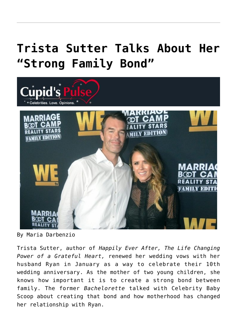# **[Trista Sutter Talks About Her](https://cupidspulse.com/72818/trista-sutter-strong-family-bond/) ["Strong Family Bond"](https://cupidspulse.com/72818/trista-sutter-strong-family-bond/)**



By Maria Darbenzio

Trista Sutter, author of *Happily Ever After, The Life Changing Power of a Grateful Heart,* renewed her wedding vows with her husband Ryan in January as a way to celebrate their 10th wedding anniversary. As the mother of two young children, she knows how important it is to create a strong bond between family. The former *Bachelorette* talked with Celebrity Baby Scoop about creating that bond and how motherhood has changed her relationship with Ryan.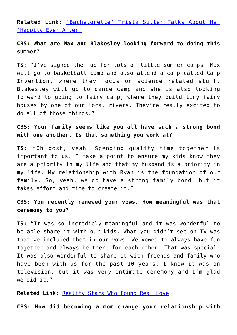**Related Link:** ['Bachelorette' Trista Sutter Talks About Her](http://cupidspulse.com/trista-sutter-bachelorette-happily-ever-after-marriage-family-gratitude/) ['Happily Ever After'](http://cupidspulse.com/trista-sutter-bachelorette-happily-ever-after-marriage-family-gratitude/)

### **CBS: What are Max and Blakesley looking forward to doing this summer?**

**TS:** "I've signed them up for lots of little summer camps. Max will go to basketball camp and also attend a camp called Camp Invention, where they focus on science related stuff. Blakesley will go to dance camp and she is also looking forward to going to fairy camp, where they build tiny fairy houses by one of our local rivers. They're really excited to do all of those things."

### **CBS: Your family seems like you all have such a strong bond with one another. Is that something you work at?**

**TS:** "Oh gosh, yeah. Spending quality time together is important to us. I make a point to ensure my kids know they are a priority in my life and that my husband is a priority in my life. My relationship with Ryan is the foundation of our family. So, yeah, we do have a strong family bond, but it takes effort and time to create it."

### **CBS: You recently renewed your vows. How meaningful was that ceremony to you?**

**TS:** "It was so incredibly meaningful and it was wonderful to be able share it with our kids. What you didn't see on TV was that we included them in our vows. We vowed to always have fun together and always be there for each other. That was special. It was also wonderful to share it with friends and family who have been with us for the past 10 years. I know it was on television, but it was very intimate ceremony and I'm glad we did it."

**Related Link:** [Reality Stars Who Found Real Love](http://cupidspulse.com/reality-star-couples-real-love/)

**CBS: How did becoming a mom change your relationship with**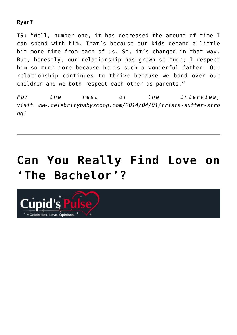### **Ryan?**

**TS:** "Well, number one, it has decreased the amount of time I can spend with him. That's because our kids demand a little bit more time from each of us. So, it's changed in that way. But, honestly, our relationship has grown so much; I respect him so much more because he is such a wonderful father. Our relationship continues to thrive because we bond over our children and we both respect each other as parents."

*For the rest of the interview, visit www.celebritybabyscoop.com/2014/04/01/trista-sutter-stro ng!*

# **[Can You Really Find Love on](https://cupidspulse.com/69076/marni-battista-can-you-find-love-on-the-bachelor/) ['The Bachelor'?](https://cupidspulse.com/69076/marni-battista-can-you-find-love-on-the-bachelor/)**

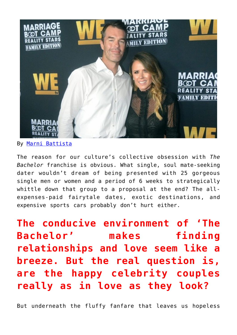

By [Marni Battista](http://datingwithdignity.com)

The reason for our culture's collective obsession with *The Bachelor* franchise is obvious. What single, soul mate-seeking dater wouldn't dream of being presented with 25 gorgeous single men or women and a period of 6 weeks to strategically whittle down that group to a proposal at the end? The allexpenses-paid fairytale dates, exotic destinations, and expensive sports cars probably don't hurt either.

**The conducive environment of 'The Bachelor' makes finding relationships and love seem like a breeze. But the real question is, are the happy celebrity couples really as in love as they look?** 

But underneath the fluffy fanfare that leaves us hopeless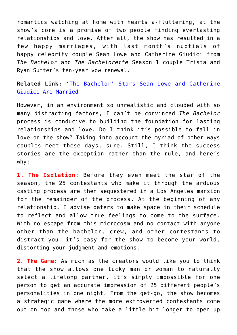romantics watching at home with hearts a-fluttering, at the show's core is a promise of two people finding everlasting relationships and love. After all, the show has resulted in a few happy marriages, with last month's nuptials of happy celebrity couple Sean Lowe and Catherine Giudici from *The Bachelor* and *The Bachelorette* Season 1 couple Trista and Ryan Sutter's ten-year vow renewal.

**Related Link:** ['The Bachelor' Stars Sean Lowe and Catherine](http://cupidspulse.com/the-bachelor-stars-sean-lowe-catherine-giudici-married/) [Giudici Are Married](http://cupidspulse.com/the-bachelor-stars-sean-lowe-catherine-giudici-married/)

However, in an environment so unrealistic and clouded with so many distracting factors, I can't be convinced *The Bachelor* process is conducive to building the foundation for lasting relationships and love. Do I think it's possible to fall in love on the show? Taking into account the myriad of other ways couples meet these days, sure. Still, I think the success stories are the exception rather than the rule, and here's why:

**1. The Isolation:** Before they even meet the star of the season, the 25 contestants who make it through the arduous casting process are then sequestered in a Los Angeles mansion for the remainder of the process. At the beginning of any relationship, I advise daters to make space in their schedule to reflect and allow true feelings to come to the surface. With no escape from this microcosm and no contact with anyone other than the bachelor, crew, and other contestants to distract you, it's easy for the show to become your world, distorting your judgment and emotions.

**2. The Game:** As much as the creators would like you to think that the show allows one lucky man or woman to naturally select a lifelong partner, it's simply impossible for one person to get an accurate impression of 25 different people's personalities in one night. From the get-go, the show becomes a strategic game where the more extroverted contestants come out on top and those who take a little bit longer to open up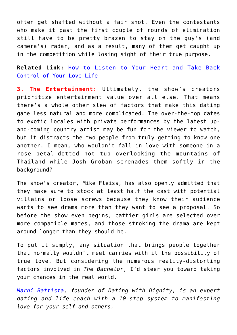often get shafted without a fair shot. Even the contestants who make it past the first couple of rounds of elimination still have to be pretty brazen to stay on the guy's (and camera's) radar, and as a result, many of them get caught up in the competition while losing sight of their true purpose.

**Related Link:** [How to Listen to Your Heart and Take Back](http://cupidspulse.com/how-to-listen-to-your-heart-and-take-back-control-of-your-love-life/) [Control of Your Love Life](http://cupidspulse.com/how-to-listen-to-your-heart-and-take-back-control-of-your-love-life/)

**3. The Entertainment:** Ultimately, the show's creators prioritize entertainment value over all else. That means there's a whole other slew of factors that make this dating game less natural and more complicated. The over-the-top dates to exotic locales with private performances by the latest upand-coming country artist may be fun for the viewer to watch, but it distracts the two people from truly getting to know one another. I mean, who wouldn't fall in love with someone in a rose petal-dotted hot tub overlooking the mountains of Thailand while Josh Groban serenades them softly in the background?

The show's creator, Mike Fleiss, has also openly admitted that they make sure to stock at least half the cast with potential villains or loose screws because they know their audience wants to see drama more than they want to see a proposal. So before the show even begins, cattier girls are selected over more compatible mates, and those stroking the drama are kept around longer than they should be.

To put it simply, any situation that brings people together that normally wouldn't meet carries with it the possibility of true love. But considering the numerous reality-distorting factors involved in *The Bachelor*, I'd steer you toward taking your chances in the real world.

*[Marni Battista,](http://cupidspulse.com/relationship-dating-experts/marni-battista-dating-dignity/) founder of Dating with Dignity, is an expert dating and life coach with a 10-step system to manifesting love for your self and others.*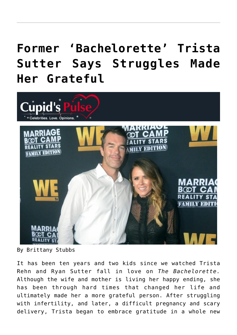# **[Former 'Bachelorette' Trista](https://cupidspulse.com/68444/former-bachelorette-trista-sutter-says-struggles-made-her-grateful/) [Sutter Says Struggles Made](https://cupidspulse.com/68444/former-bachelorette-trista-sutter-says-struggles-made-her-grateful/) [Her Grateful](https://cupidspulse.com/68444/former-bachelorette-trista-sutter-says-struggles-made-her-grateful/)**



By Brittany Stubbs

It has been ten years and two kids since we watched Trista Rehn and Ryan Sutter fall in love on *The Bachelorette.* Although the wife and mother is living her happy ending, she has been through hard times that changed her life and ultimately made her a more grateful person. After struggling with infertility, and later, a difficult pregnancy and scary delivery, Trista began to embrace gratitude in a whole new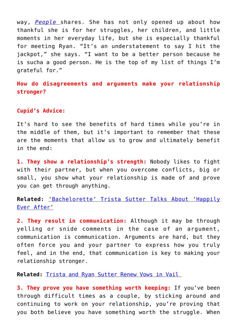way, *[People](http://www.people.com/people/article/0,,20778851,00.html)* shares. She has not only opened up about how thankful she is for her struggles, her children, and little moments in her everyday life, but she is especially thankful for meeting Ryan. "It's an understatement to say I hit the jackpot," she says. "I want to be a better person because he is sucha a good person. He is the top of my list of things I'm grateful for."

**How do disagreements and arguments make your relationship stronger?**

#### **Cupid's Advice:**

It's hard to see the benefits of hard times while you're in the middle of them, but it's important to remember that these are the moments that allow us to grow and ultimately benefit in the end:

**1. They show a relationship's strength:** Nobody likes to fight with their partner, but when you overcome conflicts, big or small, you show what your relationship is made of and prove you can get through anything.

**Related:** ['Bachelorette' Trista Sutter Talks About 'Happily](http://cupidspulse.com/trista-sutter-bachelorette-happily-ever-after-marriage-family-gratitude/) [Ever After'](http://cupidspulse.com/trista-sutter-bachelorette-happily-ever-after-marriage-family-gratitude/)

**2. They result in communication:** Although it may be through yelling or snide comments in the case of an argument, communication is communication. Arguments are hard, but they often force you and your partner to express how you truly feel, and in the end, that communication is key to making your relationship stronger.

**Related:** [Trista and Ryan Sutter Renew Vows in Vail](http://cupidspulse.com/bachelorette-stars-trista-ryan-sutter-renew-vows-vail/) 

**3. They prove you have something worth keeping:** If you've been through difficult times as a couple, by sticking around and continuing to work on your relationship, you're proving that you both believe you have something worth the struggle. When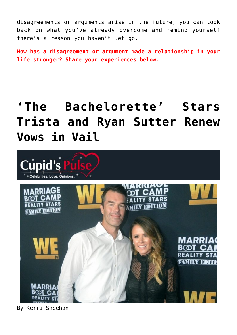disagreements or arguments arise in the future, you can look back on what you've already overcome and remind yourself there's a reason you haven't let go.

**How has a disagreement or argument made a relationship in your life stronger? Share your experiences below.** 

## **['The Bachelorette' Stars](https://cupidspulse.com/65905/bachelorette-stars-trista-ryan-sutter-renew-vows-vail/) [Trista and Ryan Sutter Renew](https://cupidspulse.com/65905/bachelorette-stars-trista-ryan-sutter-renew-vows-vail/) [Vows in Vail](https://cupidspulse.com/65905/bachelorette-stars-trista-ryan-sutter-renew-vows-vail/)**



By Kerri Sheehan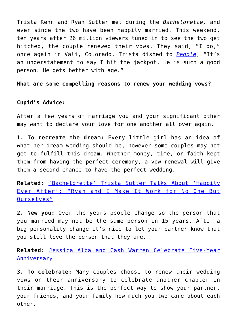Trista Rehn and Ryan Sutter met during the *Bachelorette,* and ever since the two have been happily married. This weekend, ten years after 26 million viewers tuned in to see the two get hitched, the couple renewed their vows. They said, "I do," once again in Vali, Colorado. Trista dished to *[People](http://www.people.com/people/article/0,,20766559,00.html)*, "It's an understatement to say I hit the jackpot. He is such a good person. He gets better with age."

**What are some compelling reasons to renew your wedding vows?**

### **Cupid's Advice:**

After a few years of marriage you and your significant other may want to declare your love for one another all over again.

**1. To recreate the dream:** Every little girl has an idea of what her dream wedding should be, however some couples may not get to fulfill this dream. Whether money, time, or faith kept them from having the perfect ceremony, a vow renewal will give them a second chance to have the perfect wedding.

**Related:** ['Bachelorette' Trista Sutter Talks About 'Happily](http://cupidspulse.com/trista-sutter-bachelorette-happily-ever-after-marriage-family-gratitude/) [Ever After': "Ryan and I Make It Work for No One But](http://cupidspulse.com/trista-sutter-bachelorette-happily-ever-after-marriage-family-gratitude/) [Ourselves"](http://cupidspulse.com/trista-sutter-bachelorette-happily-ever-after-marriage-family-gratitude/)

**2. New you:** Over the years people change so the person that you married may not be the same person in 15 years. After a big personality change it's nice to let your partner know that you still love the person that they are.

**Related:** [Jessica Alba and Cash Warren Celebrate Five-Year](http://cupidspulse.com/jessica-alba-cash-warren-celebrate-five-year-anniversary/) **[Anniversary](http://cupidspulse.com/jessica-alba-cash-warren-celebrate-five-year-anniversary/)** 

**3. To celebrate:** Many couples choose to renew their wedding vows on their anniversary to celebrate another chapter in their marriage. This is the perfect way to show your partner, your friends, and your family how much you two care about each other.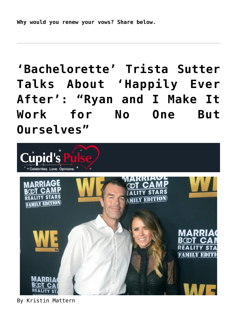**Why would you renew your vows? Share below.**

# **['Bachelorette' Trista Sutter](https://cupidspulse.com/62890/trista-sutter-bachelorette-happily-ever-after-family/) [Talks About 'Happily Ever](https://cupidspulse.com/62890/trista-sutter-bachelorette-happily-ever-after-family/) [After': "Ryan and I Make It](https://cupidspulse.com/62890/trista-sutter-bachelorette-happily-ever-after-family/) [Work for No One But](https://cupidspulse.com/62890/trista-sutter-bachelorette-happily-ever-after-family/) [Ourselves"](https://cupidspulse.com/62890/trista-sutter-bachelorette-happily-ever-after-family/)**



By Kristin Mattern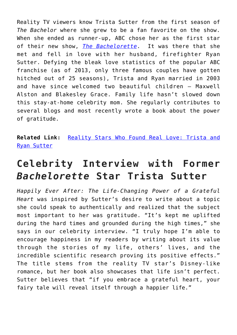Reality TV viewers know Trista Sutter from the first season of *The Bachelor* where she grew to be a fan favorite on the show. When she ended as runner-up, ABC chose her as the first star of their new show, *[The Bachelorette](http://cupidspulse.com/reality-tv-couples/the-bachelorette/)*. It was there that she met and fell in love with her husband, firefighter Ryan Sutter. Defying the bleak love statistics of the popular ABC franchise (as of 2013, only three famous couples have gotten hitched out of 25 seasons), Trista and Ryan married in 2003 and have since welcomed two beautiful children — Maxwell Alston and Blakesley Grace. Family life hasn't slowed down this stay-at-home celebrity mom. She regularly contributes to several blogs and most recently wrote a book about the power of gratitude.

**Related Link:** [Reality Stars Who Found Real Love: Trista and](http://cupidspulse.com/reality-star-couples-real-love/) [Ryan Sutter](http://cupidspulse.com/reality-star-couples-real-love/)

### **Celebrity Interview with Former** *Bachelorette* **Star Trista Sutter**

*Happily Ever After: The Life-Changing Power of a Grateful Heart* was inspired by Sutter's desire to write about a topic she could speak to authentically and realized that the subject most important to her was gratitude. "It's kept me uplifted during the hard times and grounded during the high times," she says in our celebrity interview. "I truly hope I'm able to encourage happiness in my readers by writing about its value through the stories of my life, others' lives, and the incredible scientific research proving its positive effects." The title stems from the reality TV star's Disney-like romance, but her book also showcases that life isn't perfect. Sutter believes that "if you embrace a grateful heart, your fairy tale will reveal itself through a happier life."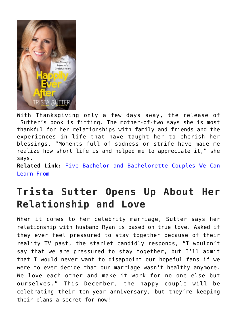

With Thanksgiving only a few days away, the release of Sutter's book is fitting. The mother-of-two says she is most thankful for her relationships with family and friends and the experiences in life that have taught her to cherish her blessings. "Moments full of sadness or strife have made me realize how short life is and helped me to appreciate it," she says.

**Related Link:** [Five Bachelor and Bachelorette Couples We Can](http://cupidspulse.com/5-bachelor-bachelorette-couples-we-can-learn-from/) [Learn From](http://cupidspulse.com/5-bachelor-bachelorette-couples-we-can-learn-from/)

## **Trista Sutter Opens Up About Her Relationship and Love**

When it comes to her celebrity marriage, Sutter says her relationship with husband Ryan is based on true love. Asked if they ever feel pressured to stay together because of their reality TV past, the starlet candidly responds, "I wouldn't say that we are pressured to stay together, but I'll admit that I would never want to disappoint our hopeful fans if we were to ever decide that our marriage wasn't healthy anymore. We love each other and make it work for no one else but ourselves." This December, the happy couple will be celebrating their ten-year anniversary, but they're keeping their plans a secret for now!